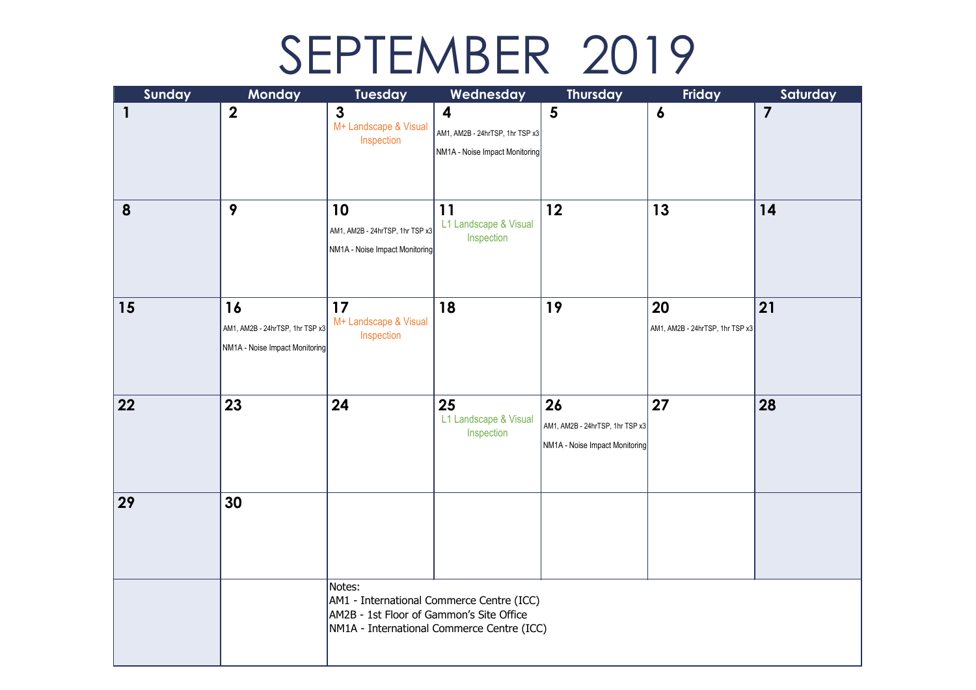## SEPTEMBER 2019

| Sunday       | Monday                                                                  | Tuesday                                                                                                                                       | Wednesday                                                              | <b>Thursday</b>                                                         | Friday                                | Saturday                |  |  |
|--------------|-------------------------------------------------------------------------|-----------------------------------------------------------------------------------------------------------------------------------------------|------------------------------------------------------------------------|-------------------------------------------------------------------------|---------------------------------------|-------------------------|--|--|
| $\mathbf{1}$ | $\boldsymbol{2}$                                                        | $\mathbf{3}$<br>M+ Landscape & Visual<br>Inspection                                                                                           | 4<br>AM1, AM2B - 24hrTSP, 1hr TSP x3<br>NM1A - Noise Impact Monitoring | 5                                                                       | $\boldsymbol{6}$                      | $\overline{\mathbf{z}}$ |  |  |
| 8            | 9                                                                       | 10<br>AM1, AM2B - 24hrTSP, 1hr TSP x3<br>NM1A - Noise Impact Monitoring                                                                       | 11<br>L1 Landscape & Visual<br>Inspection                              | 12                                                                      | 13                                    | 14                      |  |  |
| 15           | 16<br>AM1, AM2B - 24hrTSP, 1hr TSP x3<br>NM1A - Noise Impact Monitoring | 17<br>M+ Landscape & Visual<br>Inspection                                                                                                     | 18                                                                     | 19                                                                      | 20<br>AM1, AM2B - 24hrTSP, 1hr TSP x3 | 21                      |  |  |
| 22           | 23                                                                      | 24                                                                                                                                            | 25<br>L1 Landscape & Visual<br>Inspection                              | 26<br>AM1, AM2B - 24hrTSP, 1hr TSP x3<br>NM1A - Noise Impact Monitoring | 27                                    | 28                      |  |  |
| 29           | 30                                                                      |                                                                                                                                               |                                                                        |                                                                         |                                       |                         |  |  |
|              |                                                                         | Notes:<br>AM1 - International Commerce Centre (ICC)<br>AM2B - 1st Floor of Gammon's Site Office<br>NM1A - International Commerce Centre (ICC) |                                                                        |                                                                         |                                       |                         |  |  |